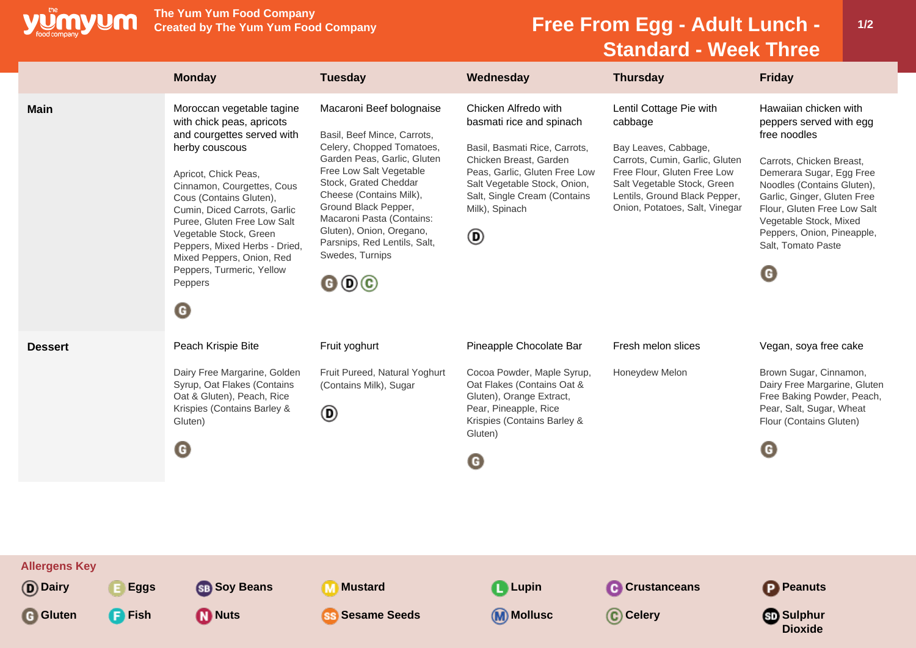

**The Yum Yum Food Company**

## **Free From Egg - Adult Lunch -Standard - Week Three**

|                                                                                      | <b>Monday</b>                                                                                                                                                                                                                                                                                                                                                                                                   | <b>Tuesday</b>                                                                                                                                                                                                                                                                                                                                                                              | Wednesday                                                                                                                                                                                                                           | <b>Thursday</b>                                                                                                                                                                                                               | <b>Friday</b>                                                                                                                                                                                                                                                                                           |
|--------------------------------------------------------------------------------------|-----------------------------------------------------------------------------------------------------------------------------------------------------------------------------------------------------------------------------------------------------------------------------------------------------------------------------------------------------------------------------------------------------------------|---------------------------------------------------------------------------------------------------------------------------------------------------------------------------------------------------------------------------------------------------------------------------------------------------------------------------------------------------------------------------------------------|-------------------------------------------------------------------------------------------------------------------------------------------------------------------------------------------------------------------------------------|-------------------------------------------------------------------------------------------------------------------------------------------------------------------------------------------------------------------------------|---------------------------------------------------------------------------------------------------------------------------------------------------------------------------------------------------------------------------------------------------------------------------------------------------------|
| <b>Main</b>                                                                          | Moroccan vegetable tagine<br>with chick peas, apricots<br>and courgettes served with<br>herby couscous<br>Apricot, Chick Peas,<br>Cinnamon, Courgettes, Cous<br>Cous (Contains Gluten),<br>Cumin, Diced Carrots, Garlic<br>Puree, Gluten Free Low Salt<br>Vegetable Stock, Green<br>Peppers, Mixed Herbs - Dried,<br>Mixed Peppers, Onion, Red<br>Peppers, Turmeric, Yellow<br>Peppers<br>$\boldsymbol{\Theta}$ | Macaroni Beef bolognaise<br>Basil, Beef Mince, Carrots,<br>Celery, Chopped Tomatoes,<br>Garden Peas, Garlic, Gluten<br>Free Low Salt Vegetable<br>Stock, Grated Cheddar<br>Cheese (Contains Milk),<br>Ground Black Pepper,<br>Macaroni Pasta (Contains:<br>Gluten), Onion, Oregano,<br>Parsnips, Red Lentils, Salt,<br>Swedes, Turnips<br>$\mathbf{\Theta} \mathbf{\Theta} \mathbf{\Theta}$ | Chicken Alfredo with<br>basmati rice and spinach<br>Basil, Basmati Rice, Carrots,<br>Chicken Breast, Garden<br>Peas, Garlic, Gluten Free Low<br>Salt Vegetable Stock, Onion,<br>Salt, Single Cream (Contains<br>Milk), Spinach<br>◉ | Lentil Cottage Pie with<br>cabbage<br>Bay Leaves, Cabbage,<br>Carrots, Cumin, Garlic, Gluten<br>Free Flour, Gluten Free Low<br>Salt Vegetable Stock, Green<br>Lentils, Ground Black Pepper,<br>Onion, Potatoes, Salt, Vinegar | Hawaiian chicken with<br>peppers served with egg<br>free noodles<br>Carrots, Chicken Breast,<br>Demerara Sugar, Egg Free<br>Noodles (Contains Gluten),<br>Garlic, Ginger, Gluten Free<br>Flour, Gluten Free Low Salt<br>Vegetable Stock, Mixed<br>Peppers, Onion, Pineapple,<br>Salt, Tomato Paste<br>G |
| <b>Dessert</b>                                                                       | Peach Krispie Bite<br>Dairy Free Margarine, Golden<br>Syrup, Oat Flakes (Contains<br>Oat & Gluten), Peach, Rice<br>Krispies (Contains Barley &<br>Gluten)<br>G                                                                                                                                                                                                                                                  | Fruit yoghurt<br>Fruit Pureed, Natural Yoghurt<br>(Contains Milk), Sugar<br>◉                                                                                                                                                                                                                                                                                                               | Pineapple Chocolate Bar<br>Cocoa Powder, Maple Syrup,<br>Oat Flakes (Contains Oat &<br>Gluten), Orange Extract,<br>Pear, Pineapple, Rice<br>Krispies (Contains Barley &<br>Gluten)<br>G                                             | Fresh melon slices<br>Honeydew Melon                                                                                                                                                                                          | Vegan, soya free cake<br>Brown Sugar, Cinnamon,<br>Dairy Free Margarine, Gluten<br>Free Baking Powder, Peach,<br>Pear, Salt, Sugar, Wheat<br>Flour (Contains Gluten)<br>G                                                                                                                               |
| <b>Allergens Key</b><br>(D) Dairy<br><b>Eggs</b><br><b>G</b> Gluten<br><b>P</b> Fish | <b>SB</b> Soy Beans<br><b>D</b> Nuts                                                                                                                                                                                                                                                                                                                                                                            | <b>Mustard</b><br>$\mathbf{m}$<br><b>Sesame Seeds</b><br>(SS)                                                                                                                                                                                                                                                                                                                               | <b>Lupin</b><br><b>M</b> Mollusc                                                                                                                                                                                                    | <b>C</b> Crustanceans<br>C Celery                                                                                                                                                                                             | <b>P</b> Peanuts<br><b>Sulphur</b><br><b>Dioxide</b>                                                                                                                                                                                                                                                    |